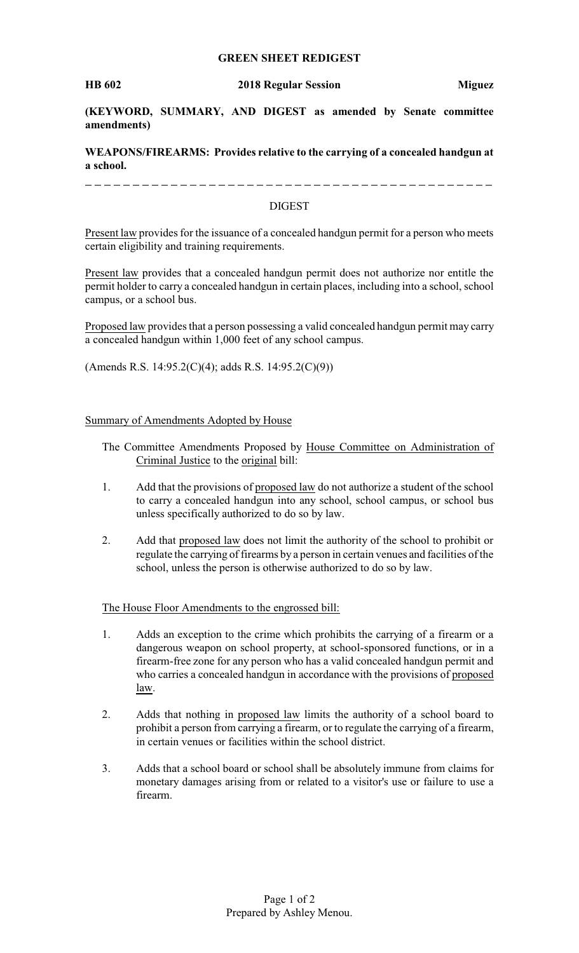## **GREEN SHEET REDIGEST**

**(KEYWORD, SUMMARY, AND DIGEST as amended by Senate committee amendments)**

**WEAPONS/FIREARMS: Provides relative to the carrying of a concealed handgun at a school.**

## DIGEST

Present law provides for the issuance of a concealed handgun permit for a person who meets certain eligibility and training requirements.

Present law provides that a concealed handgun permit does not authorize nor entitle the permit holder to carry a concealed handgun in certain places, including into a school, school campus, or a school bus.

Proposed law provides that a person possessing a valid concealed handgun permit may carry a concealed handgun within 1,000 feet of any school campus.

(Amends R.S. 14:95.2(C)(4); adds R.S. 14:95.2(C)(9))

## Summary of Amendments Adopted by House

- The Committee Amendments Proposed by House Committee on Administration of Criminal Justice to the original bill:
- 1. Add that the provisions of proposed law do not authorize a student of the school to carry a concealed handgun into any school, school campus, or school bus unless specifically authorized to do so by law.
- 2. Add that proposed law does not limit the authority of the school to prohibit or regulate the carrying of firearms by a person in certain venues and facilities of the school, unless the person is otherwise authorized to do so by law.

The House Floor Amendments to the engrossed bill:

- 1. Adds an exception to the crime which prohibits the carrying of a firearm or a dangerous weapon on school property, at school-sponsored functions, or in a firearm-free zone for any person who has a valid concealed handgun permit and who carries a concealed handgun in accordance with the provisions of proposed law.
- 2. Adds that nothing in proposed law limits the authority of a school board to prohibit a person from carrying a firearm, or to regulate the carrying of a firearm, in certain venues or facilities within the school district.
- 3. Adds that a school board or school shall be absolutely immune from claims for monetary damages arising from or related to a visitor's use or failure to use a firearm.